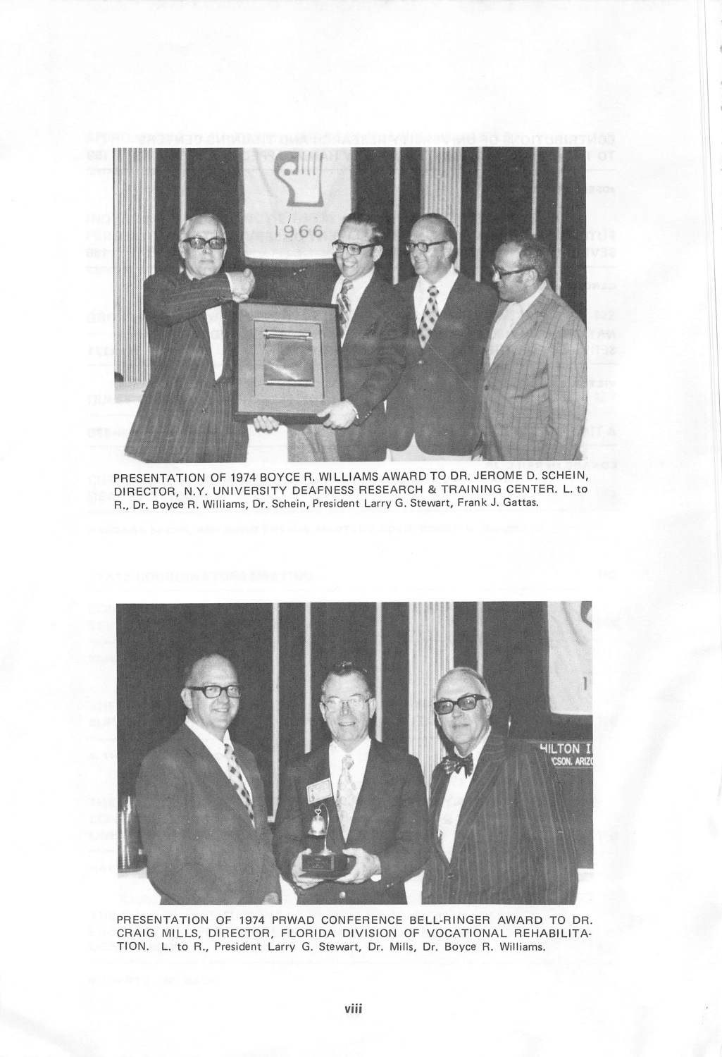

PRESENTATION OF 1974 BOYCE R. WILLIAMS AWARD TO DR. JEROME D. SCHEIN, DIRECTOR, N.Y. UNIVERSITY DEAFNESS RESEARCH & TRAINING CENTER. L. to R., Dr. Boyce R. Williams, Dr. Schein, President Larry G. Stewart, Frank J. Gattas.



PRESENTATION OF 1974 PRWAD CONFERENCE BELL-RINGER AWARD TO DR. CRAIG MILLS, DIRECTOR, FLORIDA DIVISION OF VOCATIONAL REHABILITA TION. L. to R., President Larry G. Stewart, Dr. Mills, Dr. Boyce R. Williams.